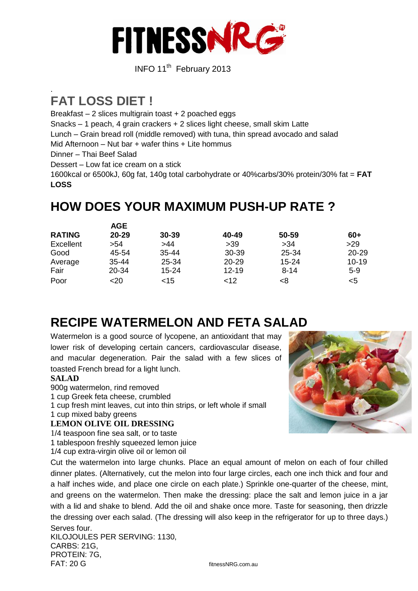

**INFO 11<sup>th</sup>** February 2013

## . **FAT LOSS DIET !**

Breakfast – 2 slices multigrain toast + 2 poached eggs

Snacks – 1 peach, 4 grain crackers + 2 slices light cheese, small skim Latte

Lunch – Grain bread roll (middle removed) with tuna, thin spread avocado and salad

Mid Afternoon – Nut bar + wafer thins + Lite hommus

Dinner – Thai Beef Salad

Dessert – Low fat ice cream on a stick

1600kcal or 6500kJ, 60g fat, 140g total carbohydrate or 40%carbs/30% protein/30% fat = **FAT LOSS**

## **HOW DOES YOUR MAXIMUM PUSH-UP RATE ?**

|               | AGE       |           |           |           |           |
|---------------|-----------|-----------|-----------|-----------|-----------|
| <b>RATING</b> | 20-29     | $30 - 39$ | 40-49     | 50-59     | 60+       |
| Excellent     | >54       | >44       | >39       | >34       | >29       |
| Good          | 45-54     | $35 - 44$ | $30 - 39$ | 25-34     | $20 - 29$ |
| Average       | $35 - 44$ | 25-34     | $20 - 29$ | $15 - 24$ | $10 - 19$ |
| Fair          | 20-34     | $15 - 24$ | $12 - 19$ | $8 - 14$  | $5-9$     |
| Poor          | <20       | ~15       | $<$ 12    | <8        | <5        |

# **RECIPE WATERMELON AND FETA SALAD**

Watermelon is a good source of lycopene, an antioxidant that may lower risk of developing certain cancers, cardiovascular disease, and macular degeneration. Pair the salad with a few slices of toasted French bread for a light lunch.

### **SALAD**

900g watermelon, rind removed

- 1 cup Greek feta cheese, crumbled
- 1 cup fresh mint leaves, cut into thin strips, or left whole if small
- 1 cup mixed baby greens

### **LEMON OLIVE OIL DRESSING**

1/4 teaspoon fine sea salt, or to taste

1 tablespoon freshly squeezed lemon juice

1/4 cup extra-virgin olive oil or lemon oil

Cut the watermelon into large chunks. Place an equal amount of melon on each of four chilled dinner plates. (Alternatively, cut the melon into four large circles, each one inch thick and four and a half inches wide, and place one circle on each plate.) Sprinkle one-quarter of the cheese, mint, and greens on the watermelon. Then make the dressing: place the salt and lemon juice in a jar with a lid and shake to blend. Add the oil and shake once more. Taste for seasoning, then drizzle the dressing over each salad. (The dressing will also keep in the refrigerator for up to three days.) Serves four.

KILOJOULES PER SERVING: 1130, CARBS: 21G, PROTEIN: 7G, FAT: 20 G fitnessNRG.com.au